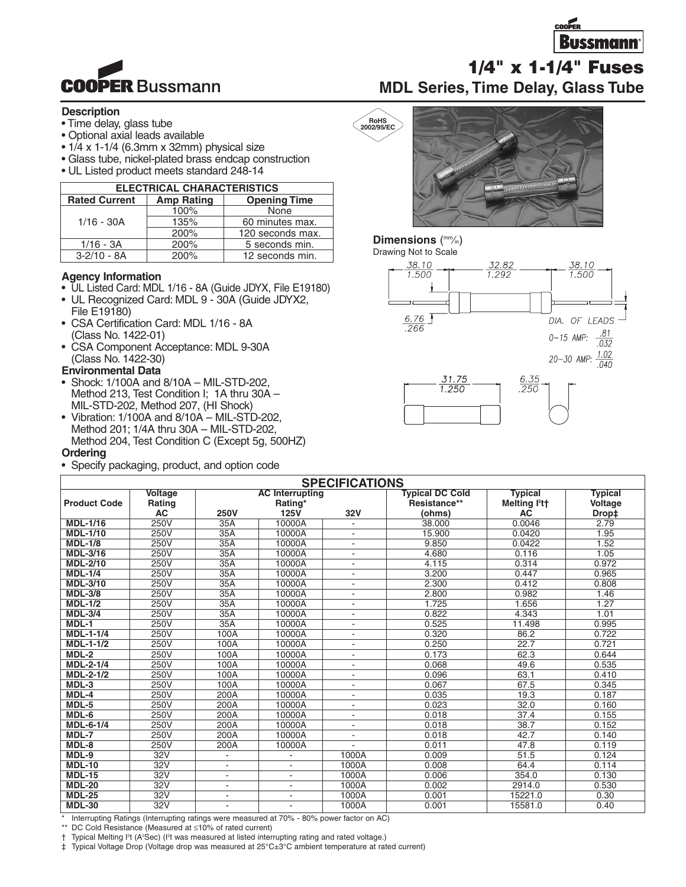



### **Description**

- Time delay, glass tube
- Optional axial leads available
- $\cdot$  1/4 x 1-1/4 (6.3mm x 32mm) physical size
- Glass tube, nickel-plated brass endcap construction
- UL Listed product meets standard 248-14

| <b>ELECTRICAL CHARACTERISTICS</b>         |                        |                     |  |  |  |
|-------------------------------------------|------------------------|---------------------|--|--|--|
| <b>Rated Current</b><br><b>Amp Rating</b> |                        | <b>Opening Time</b> |  |  |  |
|                                           | 100%                   | None                |  |  |  |
| $1/16 - 30A$                              | 135%                   | 60 minutes max.     |  |  |  |
|                                           | 200%                   | 120 seconds max.    |  |  |  |
| $1/16 - 3A$                               | 200%<br>5 seconds min. |                     |  |  |  |
| $3-2/10 - 8A$                             | 200%                   | 12 seconds min.     |  |  |  |

### **Agency Information**

- UL Listed Card: MDL 1/16 8A (Guide JDYX, File E19180)
- UL Recognized Card: MDL 9 30A (Guide JDYX2, File E19180)
- CSA Certification Card: MDL 1/16 8A (Class No. 1422-01)
- CSA Component Acceptance: MDL 9-30A (Class No. 1422-30)

### **Environmental Data**

- Shock: 1/100A and 8/10A MIL-STD-202, Method 213, Test Condition I; 1A thru 30A – MIL-STD-202, Method 207, (HI Shock)
- Vibration: 1/100A and 8/10A MIL-STD-202, Method 201; 1/4A thru 30A – MIL-STD-202, Method 204, Test Condition C (Except 5g, 500HZ) **Ordering**
- Specify packaging, product, and option code

# **RoHS 2002/95/EC**

### **Dimensions** ( mm⁄in)

Drawing Not to Scale



| <b>SPECIFICATIONS</b>                                                                     |                                 |                                   |                          |                              |                                        |                                                         |                           |
|-------------------------------------------------------------------------------------------|---------------------------------|-----------------------------------|--------------------------|------------------------------|----------------------------------------|---------------------------------------------------------|---------------------------|
| <b>Product Code</b>                                                                       | <b>Voltage</b><br><b>Rating</b> | <b>AC Interrupting</b><br>Rating* |                          |                              | <b>Typical DC Cold</b><br>Resistance** | <b>Typical</b><br>Melting l <sup>2</sup> t <sup>+</sup> | <b>Typical</b><br>Voltage |
|                                                                                           | <b>AC</b>                       | <b>250V</b>                       | <b>125V</b>              | 32V                          | (ohms)                                 | <b>AC</b>                                               | Drop‡                     |
| <b>MDL-1/16</b>                                                                           | <b>250V</b>                     | 35A                               | 10000A                   | $\overline{\phantom{a}}$     | 38.000                                 | 0.0046                                                  | 2.79                      |
| <b>MDL-1/10</b>                                                                           | 250V                            | 35A                               | 10000A                   |                              | 15.900                                 | 0.0420                                                  | 1.95                      |
| <b>MDL-1/8</b>                                                                            | 250V                            | 35A                               | 10000A                   | $\overline{\phantom{a}}$     | 9.850                                  | 0.0422                                                  | 1.52                      |
| <b>MDL-3/16</b>                                                                           | 250V                            | 35A                               | 10000A                   | $\blacksquare$               | 4.680                                  | 0.116                                                   | 1.05                      |
| <b>MDL-2/10</b>                                                                           | 250V                            | 35A                               | 10000A                   | $\overline{\phantom{a}}$     | 4.115                                  | 0.314                                                   | 0.972                     |
| <b>MDL-1/4</b>                                                                            | <b>250V</b>                     | 35A                               | 10000A                   |                              | 3.200                                  | 0.447                                                   | 0.965                     |
| <b>MDL-3/10</b>                                                                           | 250V                            | 35A                               | 10000A                   | $\overline{\phantom{a}}$     | 2.300                                  | 0.412                                                   | 0.808                     |
| <b>MDL-3/8</b>                                                                            | 250V                            | 35A                               | 10000A                   |                              | 2.800                                  | 0.982                                                   | 1.46                      |
| $MDL-1/2$                                                                                 | 250V                            | 35A                               | 10000A                   | $\overline{\phantom{a}}$     | 1.725                                  | 1.656                                                   | 1.27                      |
| $MDL-3/4$                                                                                 | 250V                            | 35A                               | 10000A                   | $\blacksquare$               | 0.822                                  | 4.343                                                   | 1.01                      |
| $MDL-1$                                                                                   | 250V                            | 35A                               | 10000A                   | $\qquad \qquad \blacksquare$ | 0.525                                  | 11.498                                                  | 0.995                     |
| <b>MDL-1-1/4</b>                                                                          | 250V                            | 100A                              | 10000A                   |                              | 0.320                                  | 86.2                                                    | 0.722                     |
| $MDL-1-1/2$                                                                               | <b>250V</b>                     | 100A                              | 10000A                   | $\overline{\phantom{a}}$     | 0.250                                  | 22.7                                                    | 0.721                     |
| MDL-2                                                                                     | 250V                            | 100A                              | 10000A                   | $\overline{\phantom{a}}$     | 0.173                                  | 62.3                                                    | 0.644                     |
| <b>MDL-2-1/4</b>                                                                          | 250V                            | 100A                              | 10000A                   | $\blacksquare$               | 0.068                                  | 49.6                                                    | 0.535                     |
| <b>MDL-2-1/2</b>                                                                          | 250V                            | 100A                              | 10000A                   | $\overline{\phantom{a}}$     | 0.096                                  | 63.1                                                    | 0.410                     |
| $MDL-3$                                                                                   | 250V                            | 100A                              | 10000A                   | ÷,                           | 0.067                                  | 67.5                                                    | 0.345                     |
| MDL-4                                                                                     | 250V                            | 200A                              | 10000A                   |                              | 0.035                                  | 19.3                                                    | 0.187                     |
| $MDL-5$                                                                                   | 250V                            | 200A                              | 10000A                   | ٠                            | 0.023                                  | 32.0                                                    | 0.160                     |
| $MDL-6$                                                                                   | 250V                            | 200A                              | 10000A                   | $\overline{\phantom{a}}$     | 0.018                                  | 37.4                                                    | 0.155                     |
| <b>MDL-6-1/4</b>                                                                          | 250V                            | 200A                              | 10000A                   | $\overline{\phantom{a}}$     | 0.018                                  | 38.7                                                    | 0.152                     |
| MDL-7                                                                                     | 250V                            | 200A                              | 10000A                   | $\qquad \qquad \blacksquare$ | 0.018                                  | 42.7                                                    | 0.140                     |
| MDL-8                                                                                     | 250V                            | 200A                              | 10000A                   |                              | 0.011                                  | 47.8                                                    | 0.119                     |
| $MDL-9$                                                                                   | 32V                             |                                   |                          | 1000A                        | 0.009                                  | 51.5                                                    | 0.124                     |
| <b>MDL-10</b>                                                                             | 32V                             | ٠                                 | $\blacksquare$           | 1000A                        | 0.008                                  | 64.4                                                    | 0.114                     |
| <b>MDL-15</b>                                                                             | 32V                             | ٠                                 | $\overline{\phantom{a}}$ | 1000A                        | 0.006                                  | 354.0                                                   | 0.130                     |
| <b>MDL-20</b>                                                                             | 32V                             |                                   |                          | 1000A                        | 0.002                                  | 2914.0                                                  | 0.530                     |
| <b>MDL-25</b>                                                                             | 32V                             |                                   | $\blacksquare$           | 1000A                        | 0.001                                  | 15221.0                                                 | 0.30                      |
| <b>MDL-30</b>                                                                             | 32V                             |                                   |                          | 1000A                        | 0.001                                  | 15581.0                                                 | 0.40                      |
| Interrupting Ratings (Interrupting ratings were measured at 70% - 80% power factor on AC) |                                 |                                   |                          |                              |                                        |                                                         |                           |

DC Cold Resistance (Measured at ≤10% of rated current)

† Typical Melting I<sup>2</sup>t (A<sup>2</sup>Sec) (I<sup>2</sup>t was measured at listed interrupting rating and rated voltage.)

‡ Typical Voltage Drop (Voltage drop was measured at 25°C±3°C ambient temperature at rated current)

**1/4" x 1-1/4" Fuses**

**MDL Series, Time Delay, Glass Tube**